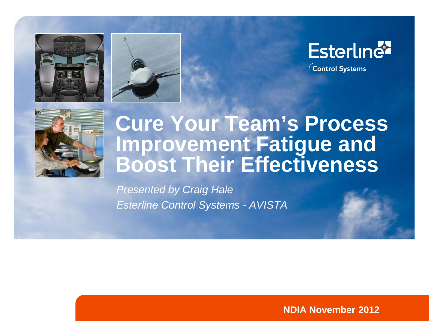





Control Systems



#### **Cure Your Team's Process Improvement Fatigue and Boost Their Effectiveness**

*Presented by Craig Hale Esterline Control Systems - AVISTA*

**NDIA November 2012**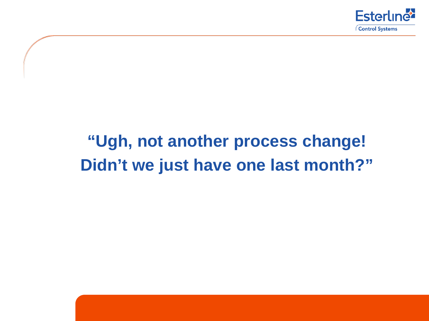

#### **"Ugh, not another process change! Didn't we just have one last month?"**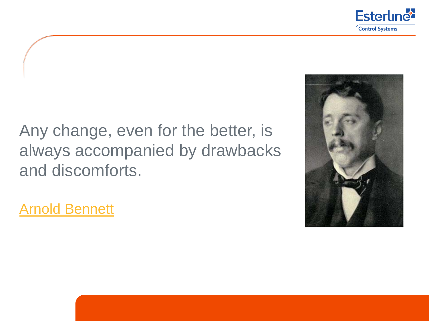

#### Any change, even for the better, is always accompanied by drawbacks and discomforts.



[Arnold Bennett](http://www.famous-quotes.com/author.php?aid=636)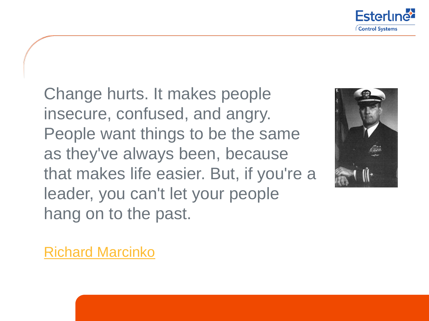

Change hurts. It makes people insecure, confused, and angry. People want things to be the same as they've always been, because that makes life easier. But, if you're a leader, you can't let your people hang on to the past.



[Richard Marcinko](http://www.famous-quotes.com/author.php?aid=4712)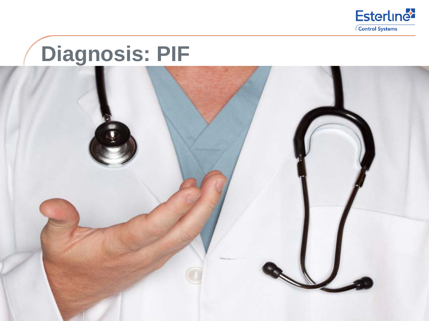

#### **Diagnosis: PIF**

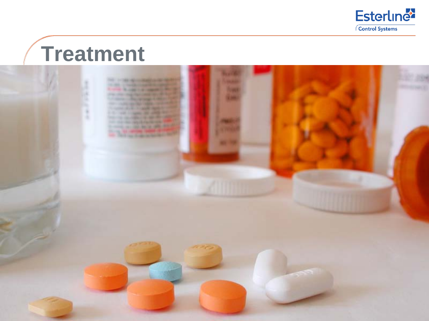

#### **Treatment**

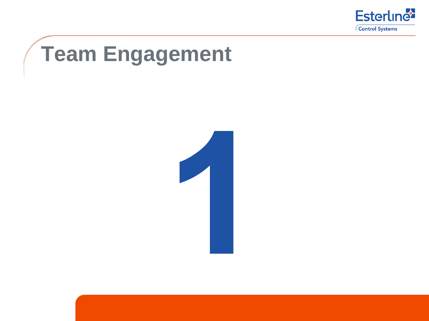

## **Team Engagement**

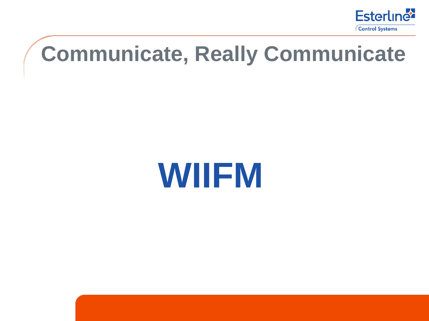

#### **Communicate, Really Communicate**

# **WIIFM**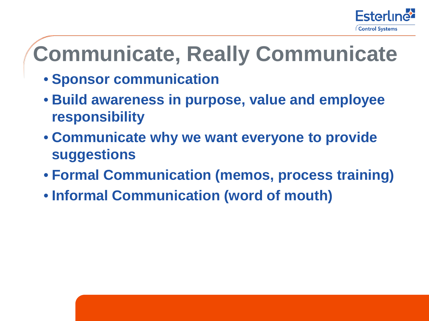

#### **Communicate, Really Communicate**

• **Sponsor communication**

- **Build awareness in purpose, value and employee responsibility**
- **Communicate why we want everyone to provide suggestions**
- **Formal Communication (memos, process training)**
- **Informal Communication (word of mouth)**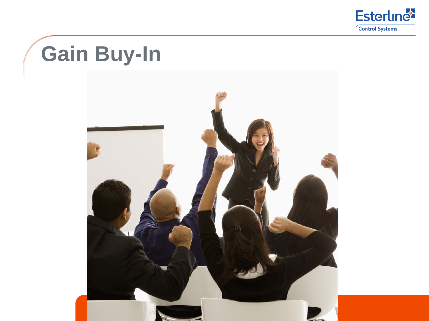

## **Gain Buy-In**

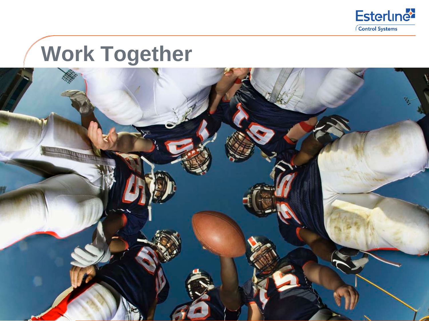

#### **Work Together**

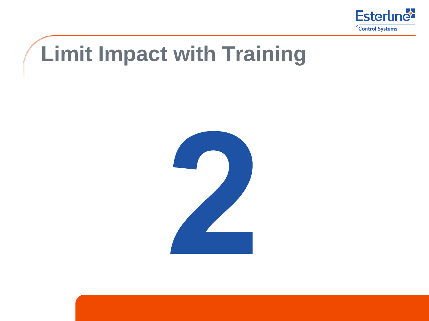

#### **Limit Impact with Training**

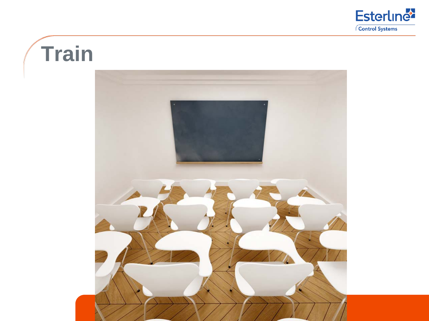

#### **Train**

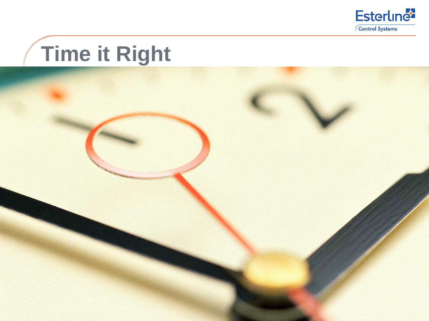

# **Time it Right**

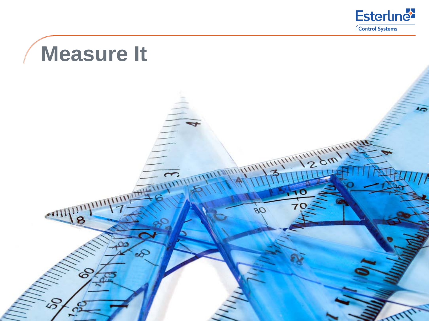

## **Measure It**

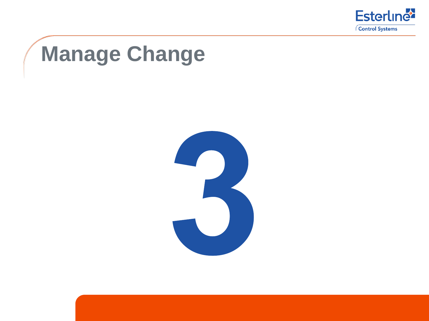

## **Manage Change**

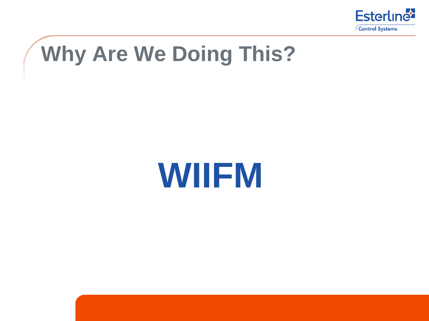

## **Why Are We Doing This?**

# **WIIFM**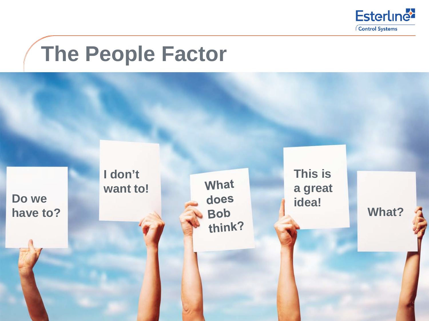

#### **The People Factor**

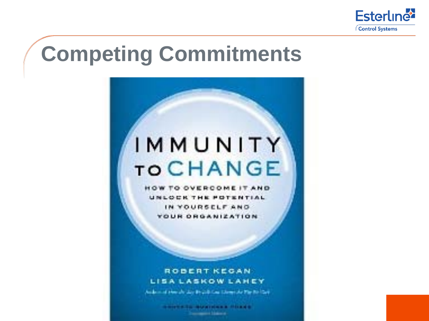

#### **Competing Commitments**

#### IMMUNITY **TO CHANGE**

**HOW TO OVERCOME IT AND** UNLOCK THE POTENTIAL IN YOURSELF AND **YOUR ORGANIZATION** 

#### ROBERT KEGAN **LISALASKOW LAHEY**

Audio in all Hernalds stay Broads Core Edward Av Plan Rio Care

*RESTARD BUSINESS PRESS* **Support States**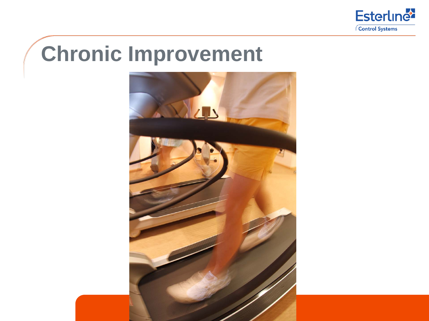

#### **Chronic Improvement**

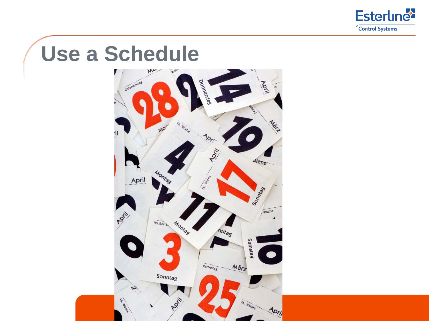

# **Use a Schedule**

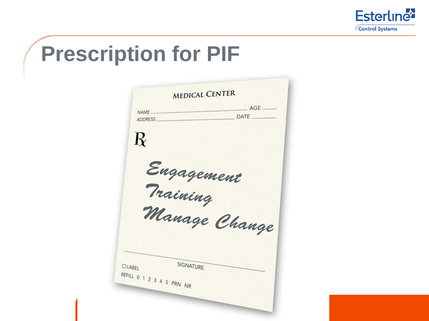

#### **Prescription for PIF**

|                           | <b>MEDICAL CENTER</b>  | $AGE$ <sub>____</sub> |
|---------------------------|------------------------|-----------------------|
| NAME<br><b>ADDRESS</b>    |                        | DATE                  |
|                           |                        |                       |
| $\mathbf{R}$              |                        |                       |
|                           |                        |                       |
|                           |                        |                       |
|                           | Engagement<br>Training |                       |
|                           |                        |                       |
|                           |                        |                       |
|                           | Manage Change          |                       |
|                           |                        |                       |
|                           |                        |                       |
|                           |                        |                       |
| <b>DLABEL</b>             | SIGNATURE              |                       |
|                           |                        |                       |
| REFILL 0 1 2 3 4 5 PRN NR |                        |                       |
|                           |                        |                       |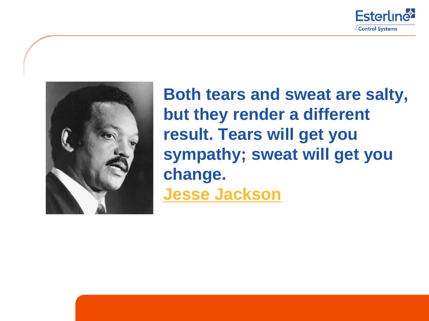



Esterline Control Systems

**Both tears and sweat are salty, but they render a different result. Tears will get you sympathy; sweat will get you change. [Jesse Jackson](http://www.famous-quotes.com/author.php?aid=3745)**